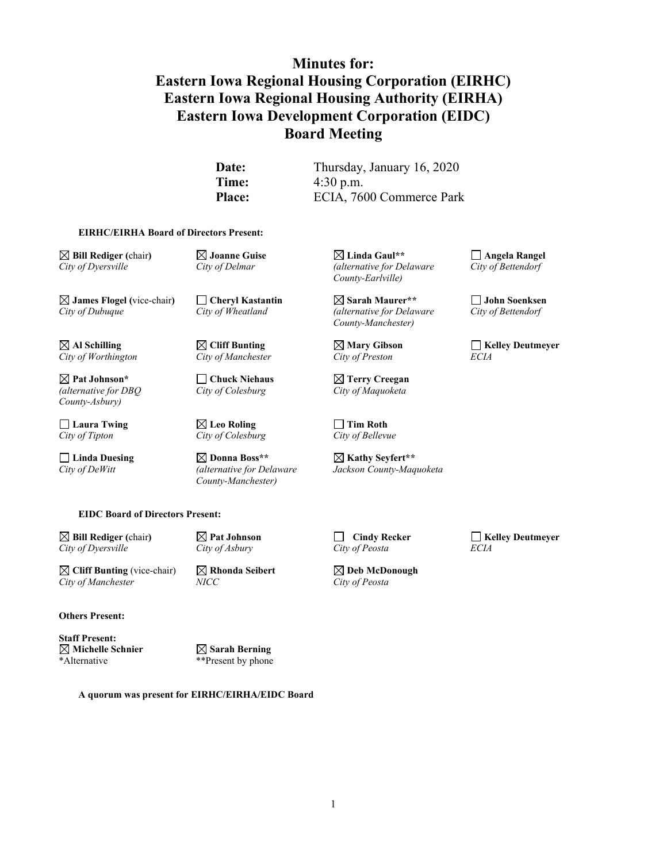# **Minutes for: Eastern Iowa Regional Housing Corporation (EIRHC) Eastern Iowa Regional Housing Authority (EIRHA) Eastern Iowa Development Corporation (EIDC) Board Meeting**

**Date:** Thursday, January 16, 2020 **Time:** 4:30 p.m. Place: ECIA, 7600 Commerce Park

#### **EIRHC/EIRHA Board of Directors Present:**

**James Flogel (**vice-chair**) Cheryl Kastantin Sarah Maurer\*\* John Soenksen** *City of Dubuque City of Wheatland (alternative for Delaware City of Wheatland* 

 $City of Worthington$ 

*(alternative for DBQ City of Colesburg City of Maquoketa County-Asbury)*

*City of Tipton City of Colesburg City of Bellevue*

**Laura Twing Leo Roling Tim Roth**

**Linda Duesing Donna Boss\*\* Kathy Seyfert\*\*** *County-Manchester)*

**Bill Rediger (**chair**) Joanne Guise Linda Gaul\*\* Angela Rangel** *City of Dyersville City of Delmar (alternative for Delaware City of Bettendorf County-Earlville)*

*County-Manchester)*

**Pat Johnson\* Chuck Niehaus Terry Creegan**

*City of DeWitt (alternative for Delaware Jackson County-Maquoketa*

**Al Schilling Cliff Bunting Mary Gibson Kelley Deutmeyer**

**EIDC Board of Directors Present:**

**Bill Rediger (**chair**) Pat Johnson Cindy Recker Kelley Deutmeyer** *City of Dyersville City of Asbury City of Peosta ECIA*

**Cliff Bunting** (vice-chair) **Rhonda Seibert Represent State Original Seibert** *Rity of MeDonough City of Peosta*  $City of Manchester$ 

**Others Present:**

**Staff Present: Michelle Schnier Sarah Berning** \*Alternative \*\*Present by phone

**A quorum was present for EIRHC/EIRHA/EIDC Board**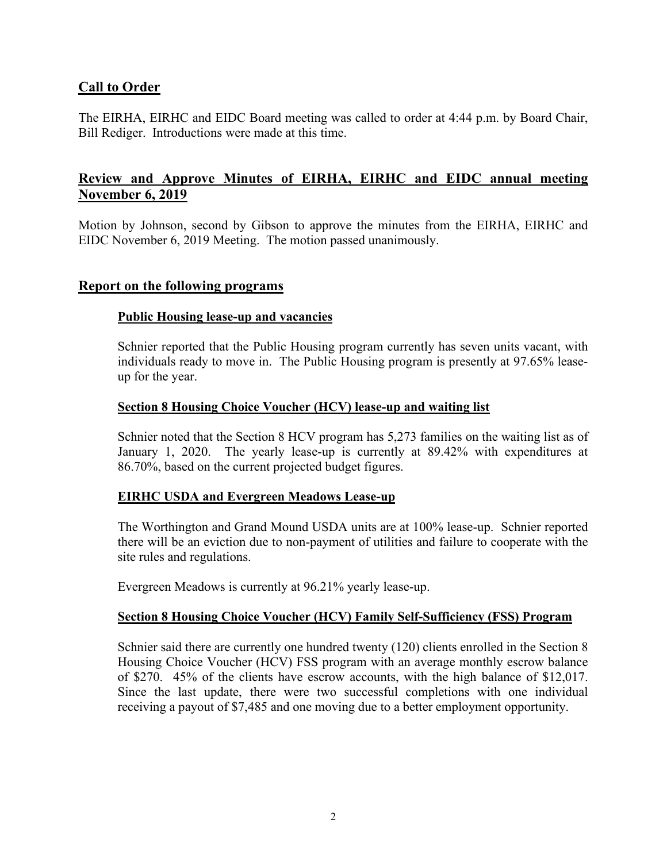# **Call to Order**

The EIRHA, EIRHC and EIDC Board meeting was called to order at 4:44 p.m. by Board Chair, Bill Rediger. Introductions were made at this time.

# **Review and Approve Minutes of EIRHA, EIRHC and EIDC annual meeting November 6, 2019**

Motion by Johnson, second by Gibson to approve the minutes from the EIRHA, EIRHC and EIDC November 6, 2019 Meeting. The motion passed unanimously.

### **Report on the following programs**

### **Public Housing lease-up and vacancies**

Schnier reported that the Public Housing program currently has seven units vacant, with individuals ready to move in. The Public Housing program is presently at 97.65% leaseup for the year.

### **Section 8 Housing Choice Voucher (HCV) lease-up and waiting list**

Schnier noted that the Section 8 HCV program has 5,273 families on the waiting list as of January 1, 2020. The yearly lease-up is currently at 89.42% with expenditures at 86.70%, based on the current projected budget figures.

### **EIRHC USDA and Evergreen Meadows Lease-up**

The Worthington and Grand Mound USDA units are at 100% lease-up. Schnier reported there will be an eviction due to non-payment of utilities and failure to cooperate with the site rules and regulations.

Evergreen Meadows is currently at 96.21% yearly lease-up.

### **Section 8 Housing Choice Voucher (HCV) Family Self-Sufficiency (FSS) Program**

Schnier said there are currently one hundred twenty (120) clients enrolled in the Section 8 Housing Choice Voucher (HCV) FSS program with an average monthly escrow balance of \$270. 45% of the clients have escrow accounts, with the high balance of \$12,017. Since the last update, there were two successful completions with one individual receiving a payout of \$7,485 and one moving due to a better employment opportunity.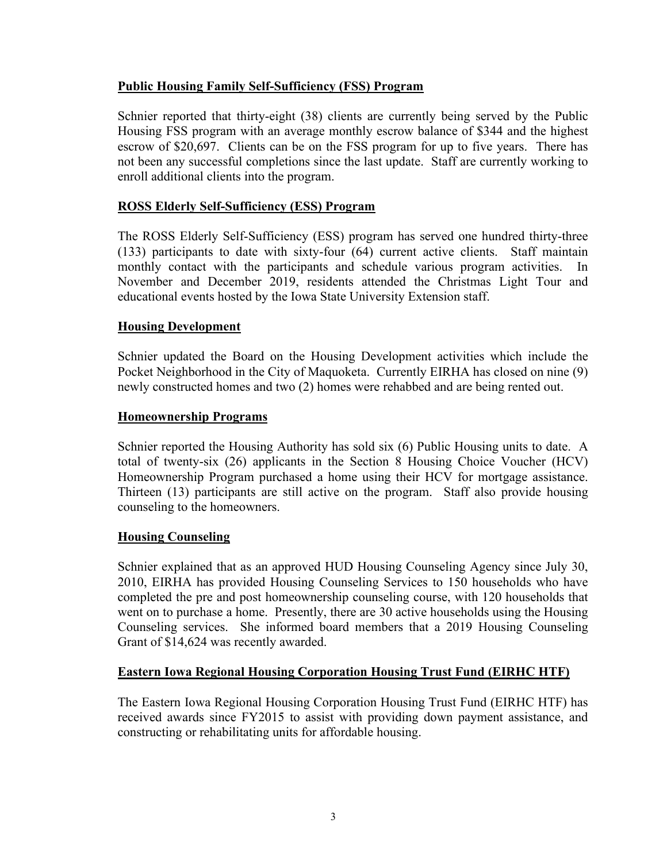### **Public Housing Family Self-Sufficiency (FSS) Program**

Schnier reported that thirty-eight (38) clients are currently being served by the Public Housing FSS program with an average monthly escrow balance of \$344 and the highest escrow of \$20,697. Clients can be on the FSS program for up to five years. There has not been any successful completions since the last update. Staff are currently working to enroll additional clients into the program.

### **ROSS Elderly Self-Sufficiency (ESS) Program**

The ROSS Elderly Self-Sufficiency (ESS) program has served one hundred thirty-three (133) participants to date with sixty-four (64) current active clients. Staff maintain monthly contact with the participants and schedule various program activities. November and December 2019, residents attended the Christmas Light Tour and educational events hosted by the Iowa State University Extension staff.

### **Housing Development**

Schnier updated the Board on the Housing Development activities which include the Pocket Neighborhood in the City of Maquoketa. Currently EIRHA has closed on nine (9) newly constructed homes and two (2) homes were rehabbed and are being rented out.

### **Homeownership Programs**

Schnier reported the Housing Authority has sold six (6) Public Housing units to date. A total of twenty-six (26) applicants in the Section 8 Housing Choice Voucher (HCV) Homeownership Program purchased a home using their HCV for mortgage assistance. Thirteen (13) participants are still active on the program. Staff also provide housing counseling to the homeowners.

### **Housing Counseling**

Schnier explained that as an approved HUD Housing Counseling Agency since July 30, 2010, EIRHA has provided Housing Counseling Services to 150 households who have completed the pre and post homeownership counseling course, with 120 households that went on to purchase a home. Presently, there are 30 active households using the Housing Counseling services. She informed board members that a 2019 Housing Counseling Grant of \$14,624 was recently awarded.

### **Eastern Iowa Regional Housing Corporation Housing Trust Fund (EIRHC HTF)**

The Eastern Iowa Regional Housing Corporation Housing Trust Fund (EIRHC HTF) has received awards since FY2015 to assist with providing down payment assistance, and constructing or rehabilitating units for affordable housing.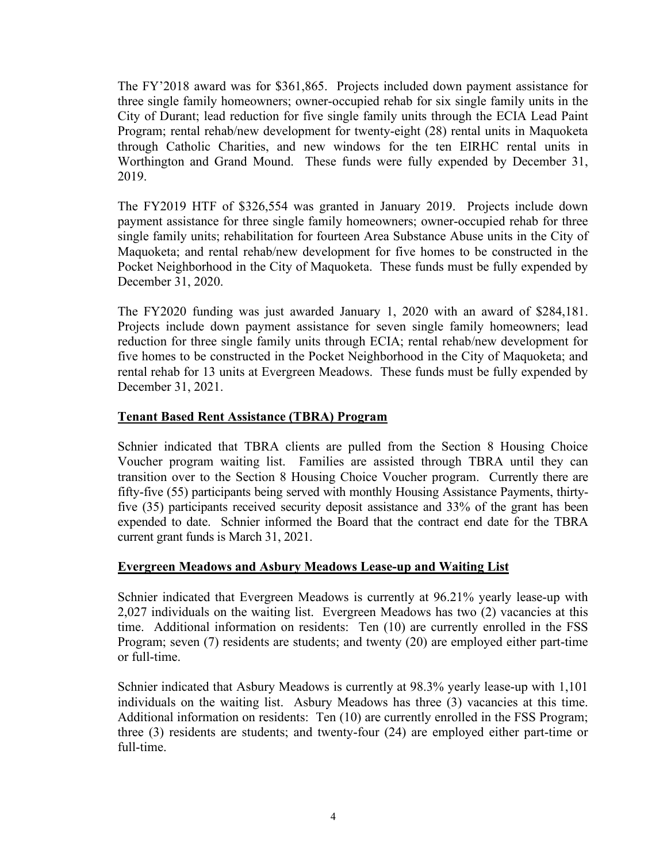The FY'2018 award was for \$361,865. Projects included down payment assistance for three single family homeowners; owner-occupied rehab for six single family units in the City of Durant; lead reduction for five single family units through the ECIA Lead Paint Program; rental rehab/new development for twenty-eight (28) rental units in Maquoketa through Catholic Charities, and new windows for the ten EIRHC rental units in Worthington and Grand Mound. These funds were fully expended by December 31, 2019.

The FY2019 HTF of \$326,554 was granted in January 2019. Projects include down payment assistance for three single family homeowners; owner-occupied rehab for three single family units; rehabilitation for fourteen Area Substance Abuse units in the City of Maquoketa; and rental rehab/new development for five homes to be constructed in the Pocket Neighborhood in the City of Maquoketa. These funds must be fully expended by December 31, 2020.

The FY2020 funding was just awarded January 1, 2020 with an award of \$284,181. Projects include down payment assistance for seven single family homeowners; lead reduction for three single family units through ECIA; rental rehab/new development for five homes to be constructed in the Pocket Neighborhood in the City of Maquoketa; and rental rehab for 13 units at Evergreen Meadows. These funds must be fully expended by December 31, 2021.

### **Tenant Based Rent Assistance (TBRA) Program**

Schnier indicated that TBRA clients are pulled from the Section 8 Housing Choice Voucher program waiting list. Families are assisted through TBRA until they can transition over to the Section 8 Housing Choice Voucher program. Currently there are fifty-five (55) participants being served with monthly Housing Assistance Payments, thirtyfive (35) participants received security deposit assistance and 33% of the grant has been expended to date. Schnier informed the Board that the contract end date for the TBRA current grant funds is March 31, 2021.

### **Evergreen Meadows and Asbury Meadows Lease-up and Waiting List**

Schnier indicated that Evergreen Meadows is currently at 96.21% yearly lease-up with 2,027 individuals on the waiting list. Evergreen Meadows has two (2) vacancies at this time. Additional information on residents: Ten (10) are currently enrolled in the FSS Program; seven (7) residents are students; and twenty (20) are employed either part-time or full-time.

Schnier indicated that Asbury Meadows is currently at 98.3% yearly lease-up with 1,101 individuals on the waiting list. Asbury Meadows has three (3) vacancies at this time. Additional information on residents: Ten (10) are currently enrolled in the FSS Program; three (3) residents are students; and twenty-four (24) are employed either part-time or full-time.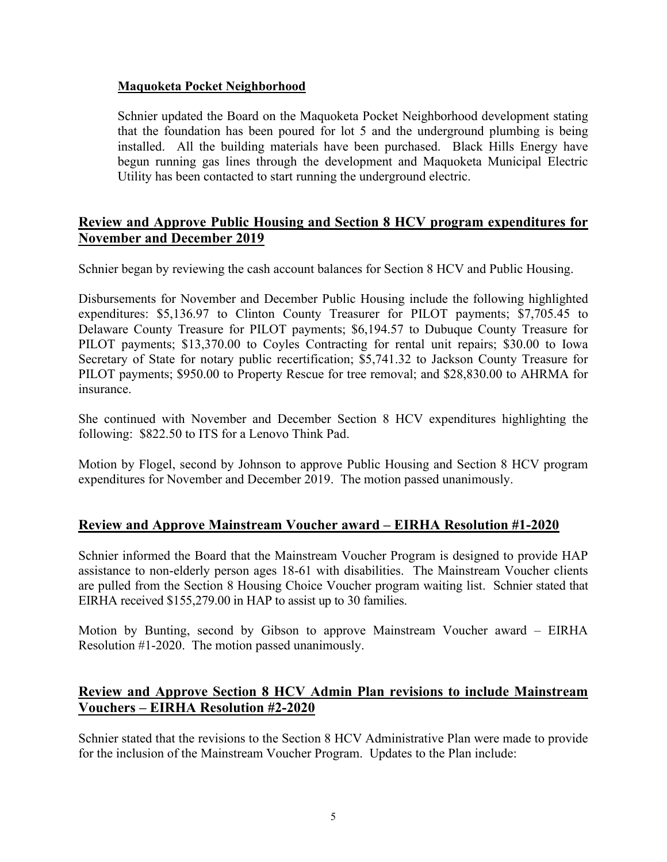### **Maquoketa Pocket Neighborhood**

Schnier updated the Board on the Maquoketa Pocket Neighborhood development stating that the foundation has been poured for lot 5 and the underground plumbing is being installed. All the building materials have been purchased. Black Hills Energy have begun running gas lines through the development and Maquoketa Municipal Electric Utility has been contacted to start running the underground electric.

# **Review and Approve Public Housing and Section 8 HCV program expenditures for November and December 2019**

Schnier began by reviewing the cash account balances for Section 8 HCV and Public Housing.

Disbursements for November and December Public Housing include the following highlighted expenditures: \$5,136.97 to Clinton County Treasurer for PILOT payments; \$7,705.45 to Delaware County Treasure for PILOT payments; \$6,194.57 to Dubuque County Treasure for PILOT payments; \$13,370.00 to Coyles Contracting for rental unit repairs; \$30.00 to Iowa Secretary of State for notary public recertification; \$5,741.32 to Jackson County Treasure for PILOT payments; \$950.00 to Property Rescue for tree removal; and \$28,830.00 to AHRMA for insurance.

She continued with November and December Section 8 HCV expenditures highlighting the following: \$822.50 to ITS for a Lenovo Think Pad.

Motion by Flogel, second by Johnson to approve Public Housing and Section 8 HCV program expenditures for November and December 2019. The motion passed unanimously.

# **Review and Approve Mainstream Voucher award – EIRHA Resolution #1-2020**

Schnier informed the Board that the Mainstream Voucher Program is designed to provide HAP assistance to non-elderly person ages 18-61 with disabilities. The Mainstream Voucher clients are pulled from the Section 8 Housing Choice Voucher program waiting list. Schnier stated that EIRHA received \$155,279.00 in HAP to assist up to 30 families.

Motion by Bunting, second by Gibson to approve Mainstream Voucher award – EIRHA Resolution #1-2020. The motion passed unanimously.

# **Review and Approve Section 8 HCV Admin Plan revisions to include Mainstream Vouchers – EIRHA Resolution #2-2020**

Schnier stated that the revisions to the Section 8 HCV Administrative Plan were made to provide for the inclusion of the Mainstream Voucher Program. Updates to the Plan include: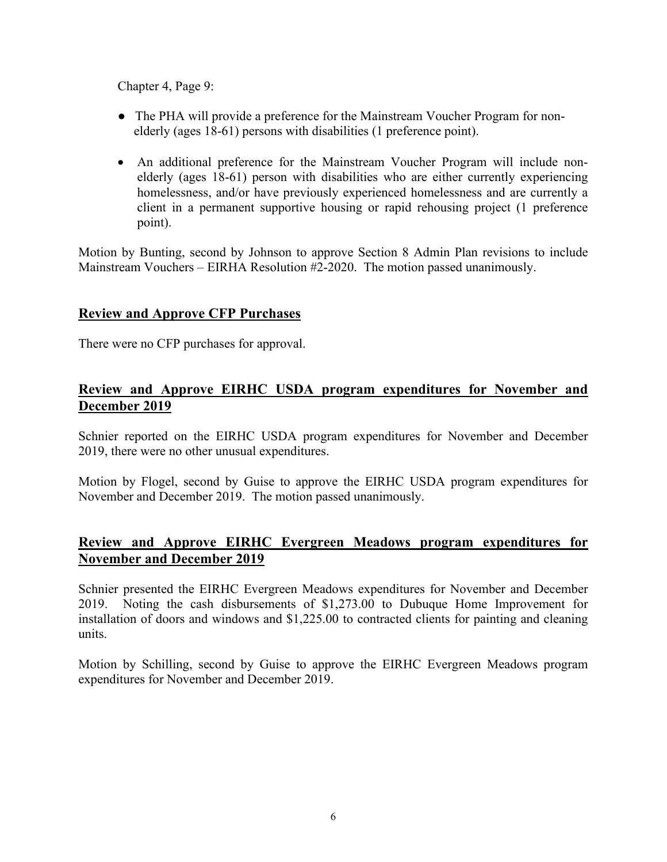Chapter 4, Page 9:

- The PHA will provide a preference for the Mainstream Voucher Program for nonelderly (ages 18-61) persons with disabilities (1 preference point).
- An additional preference for the Mainstream Voucher Program will include nonelderly (ages 18-61) person with disabilities who are either currently experiencing homelessness, and/or have previously experienced homelessness and are currently a client in a permanent supportive housing or rapid rehousing project (1 preference point).

Motion by Bunting, second by Johnson to approve Section 8 Admin Plan revisions to include Mainstream Vouchers – EIRHA Resolution #2-2020. The motion passed unanimously.

# **Review and Approve CFP Purchases**

There were no CFP purchases for approval.

# **Review and Approve EIRHC USDA program expenditures for November and December 2019**

Schnier reported on the EIRHC USDA program expenditures for November and December 2019, there were no other unusual expenditures.

Motion by Flogel, second by Guise to approve the EIRHC USDA program expenditures for November and December 2019. The motion passed unanimously.

# **Review and Approve EIRHC Evergreen Meadows program expenditures for November and December 2019**

Schnier presented the EIRHC Evergreen Meadows expenditures for November and December 2019. Noting the cash disbursements of \$1,273.00 to Dubuque Home Improvement for installation of doors and windows and \$1,225.00 to contracted clients for painting and cleaning units.

Motion by Schilling, second by Guise to approve the EIRHC Evergreen Meadows program expenditures for November and December 2019.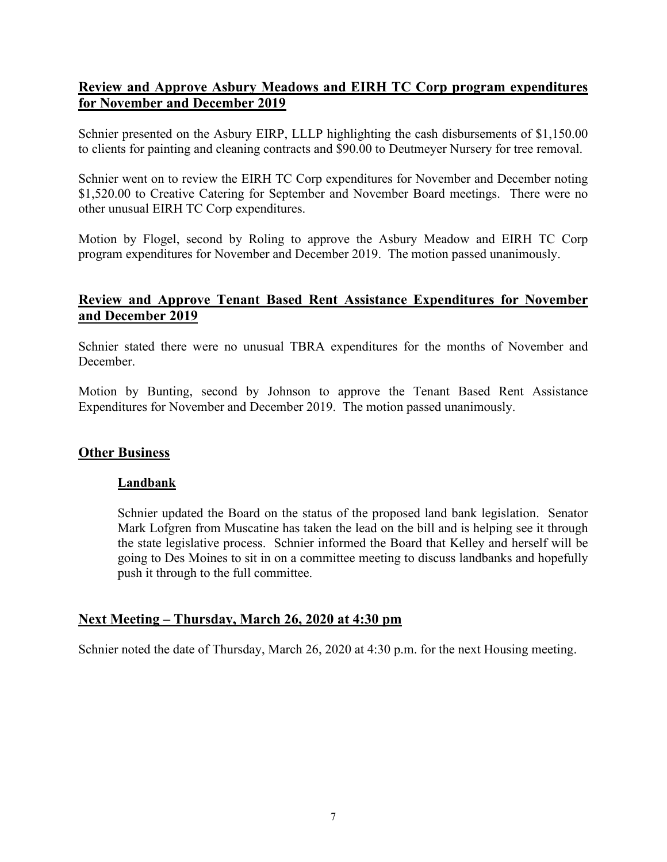# **Review and Approve Asbury Meadows and EIRH TC Corp program expenditures for November and December 2019**

Schnier presented on the Asbury EIRP, LLLP highlighting the cash disbursements of \$1,150.00 to clients for painting and cleaning contracts and \$90.00 to Deutmeyer Nursery for tree removal.

Schnier went on to review the EIRH TC Corp expenditures for November and December noting \$1,520.00 to Creative Catering for September and November Board meetings. There were no other unusual EIRH TC Corp expenditures.

Motion by Flogel, second by Roling to approve the Asbury Meadow and EIRH TC Corp program expenditures for November and December 2019. The motion passed unanimously.

# **Review and Approve Tenant Based Rent Assistance Expenditures for November and December 2019**

Schnier stated there were no unusual TBRA expenditures for the months of November and December.

Motion by Bunting, second by Johnson to approve the Tenant Based Rent Assistance Expenditures for November and December 2019. The motion passed unanimously.

### **Other Business**

### **Landbank**

Schnier updated the Board on the status of the proposed land bank legislation. Senator Mark Lofgren from Muscatine has taken the lead on the bill and is helping see it through the state legislative process. Schnier informed the Board that Kelley and herself will be going to Des Moines to sit in on a committee meeting to discuss landbanks and hopefully push it through to the full committee.

### **Next Meeting – Thursday, March 26, 2020 at 4:30 pm**

Schnier noted the date of Thursday, March 26, 2020 at 4:30 p.m. for the next Housing meeting.